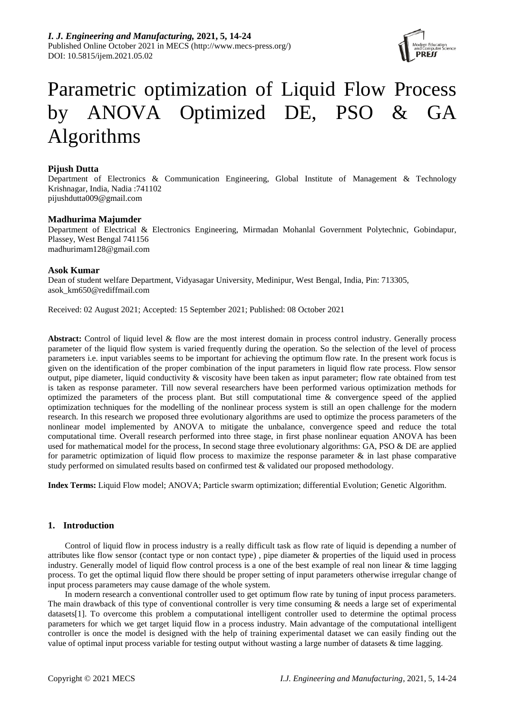

# Parametric optimization of Liquid Flow Process by ANOVA Optimized DE, PSO & GA Algorithms

# **Pijush Dutta**

Department of Electronics & Communication Engineering, Global Institute of Management & Technology Krishnagar, India, Nadia :741102 pijushdutta009@gmail.com

## **Madhurima Majumder**

Department of Electrical & Electronics Engineering, Mirmadan Mohanlal Government Polytechnic, Gobindapur, Plassey, West Bengal 741156 madhurimam128@gmail.com

## **Asok Kumar**

Dean of student welfare Department, Vidyasagar University, Medinipur, West Bengal, India, Pin: 713305, asok\_km650@rediffmail.com

Received: 02 August 2021; Accepted: 15 September 2021; Published: 08 October 2021

Abstract: Control of liquid level & flow are the most interest domain in process control industry. Generally process parameter of the liquid flow system is varied frequently during the operation. So the selection of the level of process parameters i.e. input variables seems to be important for achieving the optimum flow rate. In the present work focus is given on the identification of the proper combination of the input parameters in liquid flow rate process. Flow sensor output, pipe diameter, liquid conductivity & viscosity have been taken as input parameter; flow rate obtained from test is taken as response parameter. Till now several researchers have been performed various optimization methods for optimized the parameters of the process plant. But still computational time & convergence speed of the applied optimization techniques for the modelling of the nonlinear process system is still an open challenge for the modern research. In this research we proposed three evolutionary algorithms are used to optimize the process parameters of the nonlinear model implemented by ANOVA to mitigate the unbalance, convergence speed and reduce the total computational time. Overall research performed into three stage, in first phase nonlinear equation ANOVA has been used for mathematical model for the process, In second stage three evolutionary algorithms: GA, PSO & DE are applied for parametric optimization of liquid flow process to maximize the response parameter  $\&$  in last phase comparative study performed on simulated results based on confirmed test & validated our proposed methodology.

**Index Terms:** Liquid Flow model; ANOVA; Particle swarm optimization; differential Evolution; Genetic Algorithm.

# **1. Introduction**

Control of liquid flow in process industry is a really difficult task as flow rate of liquid is depending a number of attributes like flow sensor (contact type or non contact type) , pipe diameter & properties of the liquid used in process industry. Generally model of liquid flow control process is a one of the best example of real non linear & time lagging process. To get the optimal liquid flow there should be proper setting of input parameters otherwise irregular change of input process parameters may cause damage of the whole system.

In modern research a conventional controller used to get optimum flow rate by tuning of input process parameters. The main drawback of this type of conventional controller is very time consuming & needs a large set of experimental datasets[1]. To overcome this problem a computational intelligent controller used to determine the optimal process parameters for which we get target liquid flow in a process industry. Main advantage of the computational intelligent controller is once the model is designed with the help of training experimental dataset we can easily finding out the value of optimal input process variable for testing output without wasting a large number of datasets & time lagging.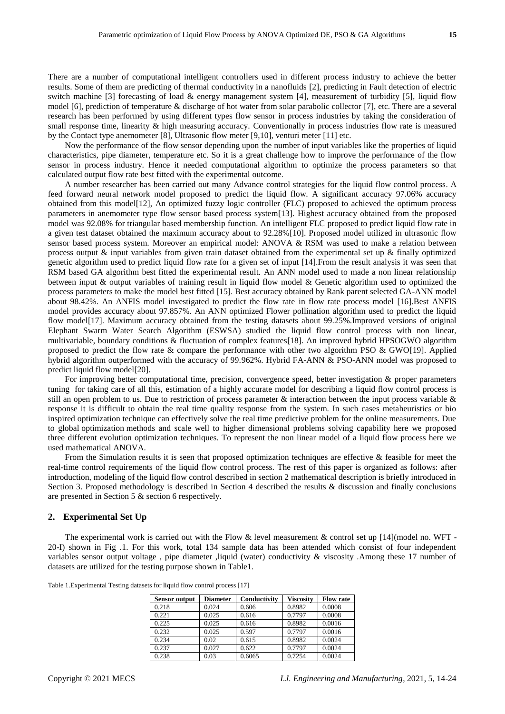There are a number of computational intelligent controllers used in different process industry to achieve the better results. Some of them are predicting of thermal conductivity in a nanofluids [2], predicting in Fault detection of electric switch machine [3] forecasting of load  $\&$  energy management system [4], measurement of turbidity [5], liquid flow model [6], prediction of temperature & discharge of hot water from solar parabolic collector [7], etc. There are a several research has been performed by using different types flow sensor in process industries by taking the consideration of small response time, linearity & high measuring accuracy. Conventionally in process industries flow rate is measured by the Contact type anemometer [8], Ultrasonic flow meter [9,10], venturi meter [11] etc.

Now the performance of the flow sensor depending upon the number of input variables like the properties of liquid characteristics, pipe diameter, temperature etc. So it is a great challenge how to improve the performance of the flow sensor in process industry. Hence it needed computational algorithm to optimize the process parameters so that calculated output flow rate best fitted with the experimental outcome.

A number researcher has been carried out many Advance control strategies for the liquid flow control process. A feed forward neural network model proposed to predict the liquid flow. A significant accuracy 97.06% accuracy obtained from this model[12], An optimized fuzzy logic controller (FLC) proposed to achieved the optimum process parameters in anemometer type flow sensor based process system[13]. Highest accuracy obtained from the proposed model was 92.08% for triangular based membership function. An intelligent FLC proposed to predict liquid flow rate in a given test dataset obtained the maximum accuracy about to 92.28%[10]. Proposed model utilized in ultrasonic flow sensor based process system. Moreover an empirical model: ANOVA & RSM was used to make a relation between process output  $\&$  input variables from given train dataset obtained from the experimental set up  $\&$  finally optimized genetic algorithm used to predict liquid flow rate for a given set of input [14].From the result analysis it was seen that RSM based GA algorithm best fitted the experimental result. An ANN model used to made a non linear relationship between input & output variables of training result in liquid flow model & Genetic algorithm used to optimized the process parameters to make the model best fitted [15]. Best accuracy obtained by Rank parent selected GA-ANN model about 98.42%. An ANFIS model investigated to predict the flow rate in flow rate process model [16].Best ANFIS model provides accuracy about 97.857%. An ANN optimized Flower pollination algorithm used to predict the liquid flow model[17]. Maximum accuracy obtained from the testing datasets about 99.25%.Improved versions of original Elephant Swarm Water Search Algorithm (ESWSA) studied the liquid flow control process with non linear, multivariable, boundary conditions & fluctuation of complex features[18]. An improved hybrid HPSOGWO algorithm proposed to predict the flow rate & compare the performance with other two algorithm PSO & GWO[19]. Applied hybrid algorithm outperformed with the accuracy of 99.962%. Hybrid FA-ANN & PSO-ANN model was proposed to predict liquid flow model[20].

For improving better computational time, precision, convergence speed, better investigation & proper parameters tuning for taking care of all this, estimation of a highly accurate model for describing a liquid flow control process is still an open problem to us. Due to restriction of process parameter  $\&$  interaction between the input process variable  $\&$ response it is difficult to obtain the real time quality response from the system. In such cases metaheuristics or bio inspired optimization technique can effectively solve the real time predictive problem for the online measurements. Due to global optimization methods and scale well to higher dimensional problems solving capability here we proposed three different evolution optimization techniques. To represent the non linear model of a liquid flow process here we used mathematical ANOVA.

From the Simulation results it is seen that proposed optimization techniques are effective & feasible for meet the real-time control requirements of the liquid flow control process. The rest of this paper is organized as follows: after introduction, modeling of the liquid flow control described in section 2 mathematical description is briefly introduced in Section 3. Proposed methodology is described in Section 4 described the results & discussion and finally conclusions are presented in Section 5 & section 6 respectively.

## **2. Experimental Set Up**

The experimental work is carried out with the Flow & level measurement & control set up  $[14]$ (model no. WFT -20-I) shown in Fig .1. For this work, total 134 sample data has been attended which consist of four independent variables sensor output voltage , pipe diameter ,liquid (water) conductivity & viscosity .Among these 17 number of datasets are utilized for the testing purpose shown in Table1.

| Table 1. Experimental Testing datasets for liquid flow control process [17] |  |  |  |  |
|-----------------------------------------------------------------------------|--|--|--|--|
|-----------------------------------------------------------------------------|--|--|--|--|

| <b>Sensor output</b> | <b>Diameter</b> | Conductivity | <b>Viscosity</b> | <b>Flow rate</b> |
|----------------------|-----------------|--------------|------------------|------------------|
| 0.218                | 0.024           | 0.606        | 0.8982           | 0.0008           |
| 0.221                | 0.025           | 0.616        | 0.7797           | 0.0008           |
| 0.225                | 0.025           | 0.616        | 0.8982           | 0.0016           |
| 0.232                | 0.025           | 0.597        | 0.7797           | 0.0016           |
| 0.234                | 0.02            | 0.615        | 0.8982           | 0.0024           |
| 0.237                | 0.027           | 0.622        | 0.7797           | 0.0024           |
| 0.238                | 0.03            | 0.6065       | 0.7254           | 0.0024           |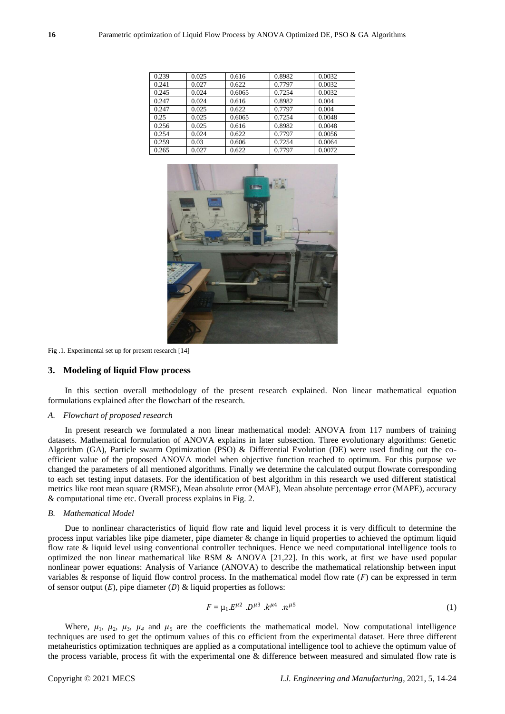| 0.239 | 0.025 | 0.616  | 0.8982 | 0.0032 |
|-------|-------|--------|--------|--------|
| 0.241 | 0.027 | 0.622  | 0.7797 | 0.0032 |
| 0.245 | 0.024 | 0.6065 | 0.7254 | 0.0032 |
| 0.247 | 0.024 | 0.616  | 0.8982 | 0.004  |
| 0.247 | 0.025 | 0.622  | 0.7797 | 0.004  |
| 0.25  | 0.025 | 0.6065 | 0.7254 | 0.0048 |
| 0.256 | 0.025 | 0.616  | 0.8982 | 0.0048 |
| 0.254 | 0.024 | 0.622  | 0.7797 | 0.0056 |
| 0.259 | 0.03  | 0.606  | 0.7254 | 0.0064 |
| 0.265 | 0.027 | 0.622  | 0.7797 | 0.0072 |



Fig .1. Experimental set up for present research [14]

#### **3. Modeling of liquid Flow process**

In this section overall methodology of the present research explained. Non linear mathematical equation formulations explained after the flowchart of the research.

#### *A. Flowchart of proposed research*

In present research we formulated a non linear mathematical model: ANOVA from 117 numbers of training datasets. Mathematical formulation of ANOVA explains in later subsection. Three evolutionary algorithms: Genetic Algorithm (GA), Particle swarm Optimization (PSO) & Differential Evolution (DE) were used finding out the coefficient value of the proposed ANOVA model when objective function reached to optimum. For this purpose we changed the parameters of all mentioned algorithms. Finally we determine the calculated output flowrate corresponding to each set testing input datasets. For the identification of best algorithm in this research we used different statistical metrics like root mean square (RMSE), Mean absolute error (MAE), Mean absolute percentage error (MAPE), accuracy & computational time etc. Overall process explains in Fig. 2.

#### *B. Mathematical Model*

Due to nonlinear characteristics of liquid flow rate and liquid level process it is very difficult to determine the process input variables like pipe diameter, pipe diameter & change in liquid properties to achieved the optimum liquid flow rate & liquid level using conventional controller techniques. Hence we need computational intelligence tools to optimized the non linear mathematical like RSM & ANOVA [21,22]. In this work, at first we have used popular nonlinear power equations: Analysis of Variance (ANOVA) to describe the mathematical relationship between input variables & response of liquid flow control process. In the mathematical model flow rate  $(F)$  can be expressed in term of sensor output  $(E)$ , pipe diameter  $(D)$  & liquid properties as follows:

$$
F = \mu_1 E^{\mu 2} . D^{\mu 3} . k^{\mu 4} . n^{\mu 5} \tag{1}
$$

Where,  $\mu_1$ ,  $\mu_2$ ,  $\mu_3$ ,  $\mu_4$  and  $\mu_5$  are the coefficients the mathematical model. Now computational intelligence techniques are used to get the optimum values of this co efficient from the experimental dataset. Here three different metaheuristics optimization techniques are applied as a computational intelligence tool to achieve the optimum value of the process variable, process fit with the experimental one & difference between measured and simulated flow rate is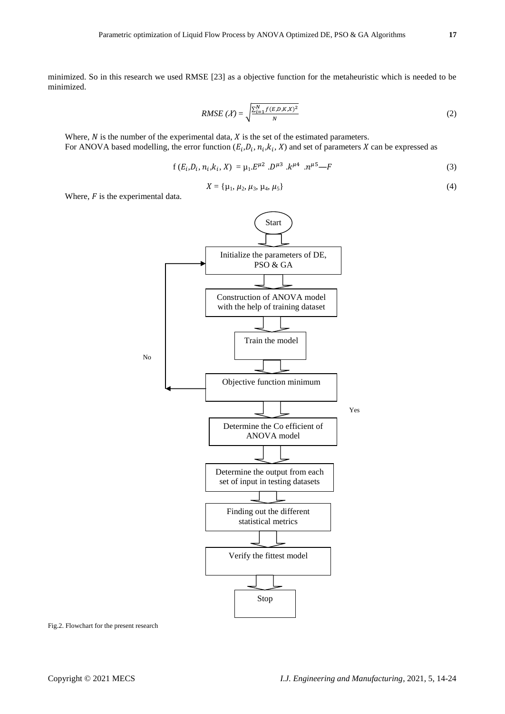minimized. So in this research we used RMSE [23] as a objective function for the metaheuristic which is needed to be minimized.

RMSE 
$$
(X)
$$
 =  $\sqrt{\frac{\sum_{i=1}^{N} f(E, D, K, X)^2}{N}}$  (2)

Where,  $N$  is the number of the experimental data,  $X$  is the set of the estimated parameters. For ANOVA based modelling, the error function  $(E_i, D_i, n_i, k_i, X)$  and set of parameters X can be expressed as

$$
f(E_i, D_i, n_i, k_i, X) = \mu_1 E^{\mu 2} . D^{\mu 3} . k^{\mu 4} . n^{\mu 5} - F
$$
\n(3)

$$
X = \{ \mu_1, \mu_2, \mu_3, \mu_4, \mu_5 \}
$$
 (4)

Where,  $F$  is the experimental data.



Fig.2. Flowchart for the present research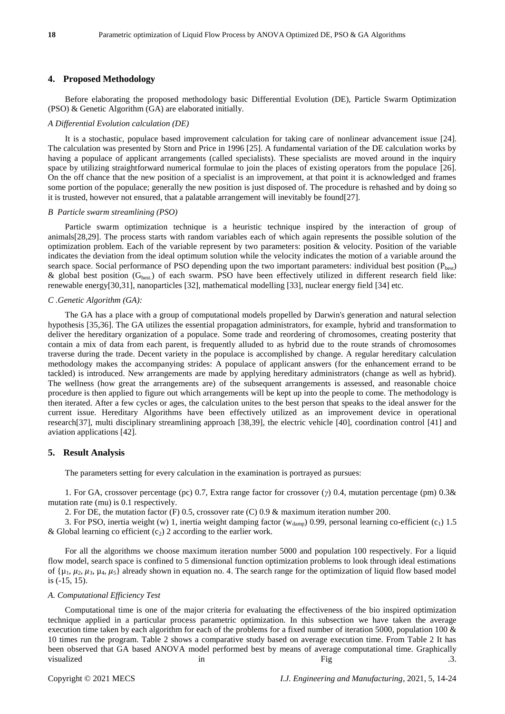## **4. Proposed Methodology**

Before elaborating the proposed methodology basic Differential Evolution (DE), Particle Swarm Optimization (PSO) & Genetic Algorithm (GA) are elaborated initially.

#### *A Differential Evolution calculation (DE)*

It is a stochastic, populace based improvement calculation for taking care of nonlinear advancement issue [24]. The calculation was presented by Storn and Price in 1996 [25]. A fundamental variation of the DE calculation works by having a populace of applicant arrangements (called specialists). These specialists are moved around in the inquiry space by utilizing straightforward numerical formulae to join the places of existing operators from the populace [26]. On the off chance that the new position of a specialist is an improvement, at that point it is acknowledged and frames some portion of the populace; generally the new position is just disposed of. The procedure is rehashed and by doing so it is trusted, however not ensured, that a palatable arrangement will inevitably be found[27].

#### *B Particle swarm streamlining (PSO)*

Particle swarm optimization technique is a heuristic technique inspired by the interaction of group of animals[28,29]. The process starts with random variables each of which again represents the possible solution of the optimization problem. Each of the variable represent by two parameters: position & velocity. Position of the variable indicates the deviation from the ideal optimum solution while the velocity indicates the motion of a variable around the search space. Social performance of PSO depending upon the two important parameters: individual best position  $(P_{best})$ & global best position  $(G_{best})$  of each swarm. PSO have been effectively utilized in different research field like: renewable energy[30,31], nanoparticles [32], mathematical modelling [33], nuclear energy field [34] etc.

## *C .Genetic Algorithm (GA):*

The GA has a place with a group of computational models propelled by Darwin's generation and natural selection hypothesis [35,36]. The GA utilizes the essential propagation administrators, for example, hybrid and transformation to deliver the hereditary organization of a populace. Some trade and reordering of chromosomes, creating posterity that contain a mix of data from each parent, is frequently alluded to as hybrid due to the route strands of chromosomes traverse during the trade. Decent variety in the populace is accomplished by change. A regular hereditary calculation methodology makes the accompanying strides: A populace of applicant answers (for the enhancement errand to be tackled) is introduced. New arrangements are made by applying hereditary administrators (change as well as hybrid). The wellness (how great the arrangements are) of the subsequent arrangements is assessed, and reasonable choice procedure is then applied to figure out which arrangements will be kept up into the people to come. The methodology is then iterated. After a few cycles or ages, the calculation unites to the best person that speaks to the ideal answer for the current issue. Hereditary Algorithms have been effectively utilized as an improvement device in operational research[37], multi disciplinary streamlining approach [38,39], the electric vehicle [40], coordination control [41] and aviation applications [42].

## **5. Result Analysis**

The parameters setting for every calculation in the examination is portrayed as pursues:

1. For GA, crossover percentage (pc) 0.7, Extra range factor for crossover (*γ*) 0.4, mutation percentage (pm) 0.3& mutation rate (mu) is 0.1 respectively.

2. For DE, the mutation factor (F) 0.5, crossover rate (C) 0.9 & maximum iteration number 200.

3. For PSO, inertia weight (w) 1, inertia weight damping factor ( $w_{\text{damp}}$ ) 0.99, personal learning co-efficient (c<sub>1</sub>) 1.5 & Global learning co efficient  $(c_2)$  2 according to the earlier work.

For all the algorithms we choose maximum iteration number 5000 and population 100 respectively. For a liquid flow model, search space is confined to 5 dimensional function optimization problems to look through ideal estimations of  $\{ \mu_1, \mu_2, \mu_3, \mu_4, \mu_5 \}$  already shown in equation no. 4. The search range for the optimization of liquid flow based model is (-15, 15).

## *A. Computational Efficiency Test*

Computational time is one of the major criteria for evaluating the effectiveness of the bio inspired optimization technique applied in a particular process parametric optimization. In this subsection we have taken the average execution time taken by each algorithm for each of the problems for a fixed number of iteration 5000, population 100 & 10 times run the program. Table 2 shows a comparative study based on average execution time. From Table 2 It has been observed that GA based ANOVA model performed best by means of average computational time. Graphically visualized a control in the set of the Fig. The set of the set of the set of the set of the set of the set of the set of the set of the set of the set of the set of the set of the set of the set of the set of the set of th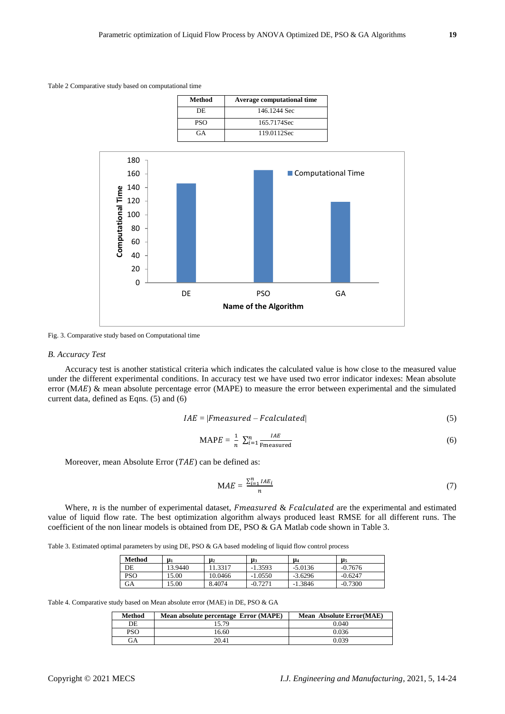Table 2 Comparative study based on computational time



Fig. 3. Comparative study based on Computational time

#### *B. Accuracy Test*

Accuracy test is another statistical criteria which indicates the calculated value is how close to the measured value under the different experimental conditions. In accuracy test we have used two error indicator indexes: Mean absolute error ( $MAE$ ) & mean absolute percentage error ( $MAPE$ ) to measure the error between experimental and the simulated current data, defined as Eqns. (5) and (6)

$$
IAE = |Fmeasured - Fcalculated| \tag{5}
$$

$$
MAPE = \frac{1}{n} \sum_{i=1}^{n} \frac{IAE}{\text{Fmeasured}} \tag{6}
$$

Moreover, mean Absolute Error  $(TAE)$  can be defined as:

$$
MAE = \frac{\sum_{i=1}^{n} IAE_i}{n}
$$
 (7)

Where,  $n$  is the number of experimental dataset, *Fmeasured & Fcalculated* are the experimental and estimated value of liquid flow rate. The best optimization algorithm always produced least RMSE for all different runs. The coefficient of the non linear models is obtained from DE, PSO & GA Matlab code shown in Table 3.

Table 3. Estimated optimal parameters by using DE, PSO & GA based modeling of liquid flow control process

| Method     | $\mu_1$ | $\mathbf{\mu}_2$ | μ3        | μ,        | μ5        |
|------------|---------|------------------|-----------|-----------|-----------|
| DE         | 13.9440 | .3317            | $-1.3593$ | $-5.0136$ | $-0.7676$ |
| <b>PSO</b> | 5.00    | 10.0466          | -1.0550   | $-3.6296$ | $-0.6247$ |
| GA         | 5.00    | 8.4074           | $-0.7271$ | $-1.3846$ | $-0.7300$ |

Table 4. Comparative study based on Mean absolute error (MAE) in DE, PSO & GA

| <b>Method</b> | Mean absolute percentage Error (MAPE) | <b>Mean Absolute Error (MAE)</b> |
|---------------|---------------------------------------|----------------------------------|
| DE            | 15.79                                 | 0.040                            |
| PSO           | 16.60                                 | 0.036                            |
| GА            | 20.41                                 | 0.039                            |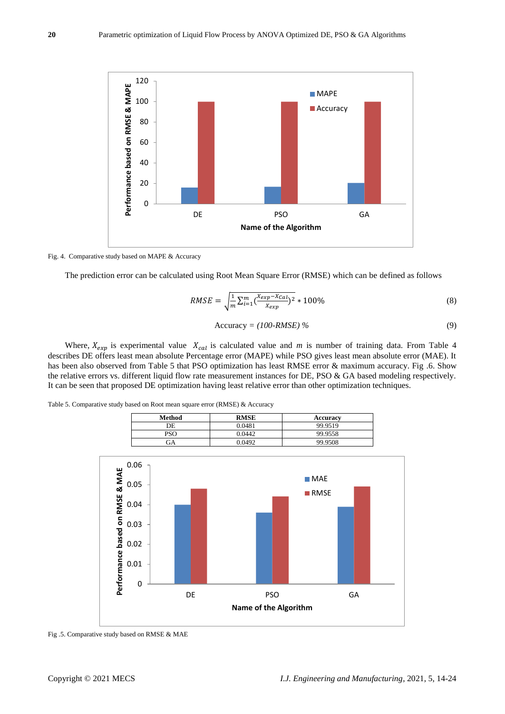

Fig. 4. Comparative study based on MAPE & Accuracy

The prediction error can be calculated using Root Mean Square Error (RMSE) which can be defined as follows

$$
RMSE = \sqrt{\frac{1}{m} \sum_{i=1}^{m} (\frac{X_{exp} - X_{Cal}}{X_{exp}})^2} * 100\%
$$
\n(8)

$$
Accuracy = (100\text{-}RMSE) \% \tag{9}
$$

Where,  $X_{exp}$  is experimental value  $X_{cal}$  is calculated value and *m* is number of training data. From Table 4 describes DE offers least mean absolute Percentage error (MAPE) while PSO gives least mean absolute error (MAE). It has been also observed from Table 5 that PSO optimization has least RMSE error & maximum accuracy. Fig .6. Show the relative errors vs. different liquid flow rate measurement instances for DE, PSO & GA based modeling respectively. It can be seen that proposed DE optimization having least relative error than other optimization techniques.

Table 5. Comparative study based on Root mean square error (RMSE) & Accuracy

| <b>Method</b> | <b>RMSE</b> | <b>Accuracy</b> |
|---------------|-------------|-----------------|
| DE            | 0.0481      | 99.9519         |
| PSO           | 9.0442      | 99.9558         |
| ЭA            | 0.0492      | 99.9508         |



Fig .5. Comparative study based on RMSE & MAE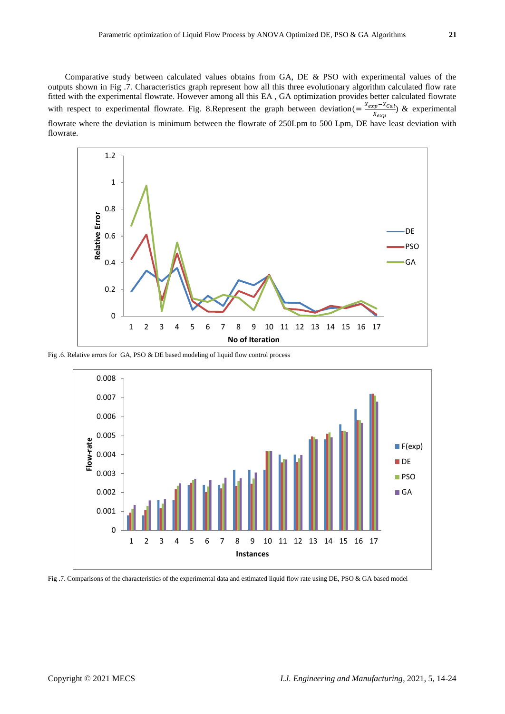Comparative study between calculated values obtains from GA, DE & PSO with experimental values of the outputs shown in Fig .7. Characteristics graph represent how all this three evolutionary algorithm calculated flow rate fitted with the experimental flowrate. However among all this EA , GA optimization provides better calculated flowrate with respect to experimental flowrate. Fig. 8. Represent the graph between deviation (=  $\frac{Xexp-X_{Cal}}{y}$  $\frac{p^{2}C^{n-1}(a)}{x_{exp}}$  & experimental flowrate where the deviation is minimum between the flowrate of 250Lpm to 500 Lpm, DE have least deviation with flowrate.



Fig .6. Relative errors for GA, PSO & DE based modeling of liquid flow control process



Fig .7. Comparisons of the characteristics of the experimental data and estimated liquid flow rate using DE, PSO & GA based model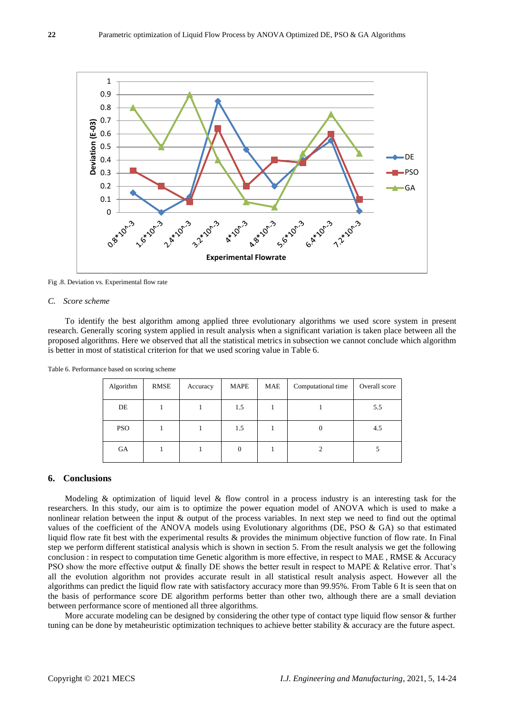

Fig .8. Deviation vs. Experimental flow rate

#### *C. Score scheme*

To identify the best algorithm among applied three evolutionary algorithms we used score system in present research. Generally scoring system applied in result analysis when a significant variation is taken place between all the proposed algorithms. Here we observed that all the statistical metrics in subsection we cannot conclude which algorithm is better in most of statistical criterion for that we used scoring value in Table 6.

| Algorithm  | RMSE | Accuracy | MAPE | MAE | Computational time | Overall score |
|------------|------|----------|------|-----|--------------------|---------------|
| DE         |      |          | 1.5  |     |                    | 5.5           |
| <b>PSO</b> |      |          | 1.5  |     | 0                  | 4.5           |
| GA         |      |          | 0    |     |                    |               |

Table 6. Performance based on scoring scheme

## **6. Conclusions**

Modeling & optimization of liquid level & flow control in a process industry is an interesting task for the researchers. In this study, our aim is to optimize the power equation model of ANOVA which is used to make a nonlinear relation between the input & output of the process variables. In next step we need to find out the optimal values of the coefficient of the ANOVA models using Evolutionary algorithms (DE, PSO & GA) so that estimated liquid flow rate fit best with the experimental results & provides the minimum objective function of flow rate. In Final step we perform different statistical analysis which is shown in section 5. From the result analysis we get the following conclusion : in respect to computation time Genetic algorithm is more effective, in respect to MAE , RMSE & Accuracy PSO show the more effective output & finally DE shows the better result in respect to MAPE & Relative error. That's all the evolution algorithm not provides accurate result in all statistical result analysis aspect. However all the algorithms can predict the liquid flow rate with satisfactory accuracy more than 99.95%. From Table 6 It is seen that on the basis of performance score DE algorithm performs better than other two, although there are a small deviation between performance score of mentioned all three algorithms.

More accurate modeling can be designed by considering the other type of contact type liquid flow sensor & further tuning can be done by metaheuristic optimization techniques to achieve better stability & accuracy are the future aspect.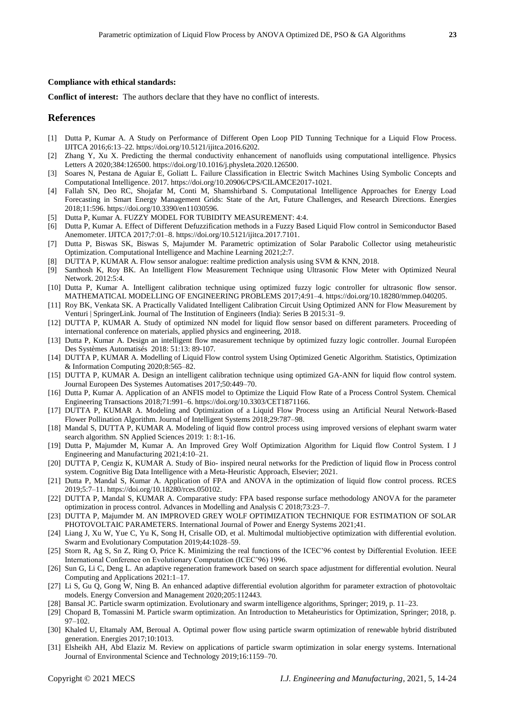## **Compliance with ethical standards:**

**Conflict of interest:** The authors declare that they have no conflict of interests.

## **References**

- [1] Dutta P, Kumar A. A Study on Performance of Different Open Loop PID Tunning Technique for a Liquid Flow Process. IJITCA 2016;6:13–22. https://doi.org/10.5121/ijitca.2016.6202.
- [2] Zhang Y, Xu X. Predicting the thermal conductivity enhancement of nanofluids using computational intelligence. Physics Letters A 2020;384:126500. https://doi.org/10.1016/j.physleta.2020.126500.
- [3] Soares N, Pestana de Aguiar E, Goliatt L. Failure Classification in Electric Switch Machines Using Symbolic Concepts and Computational Intelligence. 2017. https://doi.org/10.20906/CPS/CILAMCE2017-1021.
- [4] Fallah SN, Deo RC, Shojafar M, Conti M, Shamshirband S. Computational Intelligence Approaches for Energy Load Forecasting in Smart Energy Management Grids: State of the Art, Future Challenges, and Research Directions. Energies 2018;11:596. https://doi.org/10.3390/en11030596.
- [5] Dutta P, Kumar A. FUZZY MODEL FOR TUBIDITY MEASUREMENT: 4:4.
- [6] Dutta P, Kumar A. Effect of Different Defuzzification methods in a Fuzzy Based Liquid Flow control in Semiconductor Based Anemometer. IJITCA 2017;7:01–8. https://doi.org/10.5121/ijitca.2017.7101.
- [7] Dutta P, Biswas SK, Biswas S, Majumder M. Parametric optimization of Solar Parabolic Collector using metaheuristic Optimization. Computational Intelligence and Machine Learning 2021;2:7.
- [8] DUTTA P, KUMAR A. Flow sensor analogue: realtime prediction analysis using SVM & KNN, 2018.
- [9] Santhosh K, Roy BK. An Intelligent Flow Measurement Technique using Ultrasonic Flow Meter with Optimized Neural Network. 2012:5:4.
- [10] Dutta P, Kumar A. Intelligent calibration technique using optimized fuzzy logic controller for ultrasonic flow sensor. MATHEMATICAL MODELLING OF ENGINEERING PROBLEMS 2017;4:91–4. https://doi.org/10.18280/mmep.040205.
- [11] Roy BK, Venkata SK. A Practically Validated Intelligent Calibration Circuit Using Optimized ANN for Flow Measurement by Venturi | SpringerLink. Journal of The Institution of Engineers (India): Series B 2015:31–9.
- [12] DUTTA P, KUMAR A. Study of optimized NN model for liquid flow sensor based on different parameters. Proceeding of international conference on materials, applied physics and engineering, 2018.
- [13] Dutta P, Kumar A. Design an intelligent flow measurement technique by optimized fuzzy logic controller. Journal Européen Des Systèmes Automatisés 2018: 51:13: 89-107.
- [14] DUTTA P, KUMAR A. Modelling of Liquid Flow control system Using Optimized Genetic Algorithm. Statistics, Optimization & Information Computing 2020;8:565–82.
- [15] DUTTA P, KUMAR A. Design an intelligent calibration technique using optimized GA-ANN for liquid flow control system. Journal Europeen Des Systemes Automatises 2017;50:449–70.
- [16] Dutta P, Kumar A. Application of an ANFIS model to Optimize the Liquid Flow Rate of a Process Control System. Chemical Engineering Transactions 2018;71:991–6. https://doi.org/10.3303/CET1871166.
- [17] DUTTA P, KUMAR A. Modeling and Optimization of a Liquid Flow Process using an Artificial Neural Network-Based Flower Pollination Algorithm. Journal of Intelligent Systems 2018;29:787–98.
- [18] Mandal S, DUTTA P, KUMAR A. Modeling of liquid flow control process using improved versions of elephant swarm water search algorithm. SN Applied Sciences 2019: 1: 8:1-16.
- [19] Dutta P, Majumder M, Kumar A. An Improved Grey Wolf Optimization Algorithm for Liquid flow Control System. I J Engineering and Manufacturing 2021;4:10–21.
- [20] DUTTA P, Cengiz K, KUMAR A. Study of Bio- inspired neural networks for the Prediction of liquid flow in Process control system. Cognitive Big Data Intelligence with a Meta-Heuristic Approach, Elsevier; 2021.
- [21] Dutta P, Mandal S, Kumar A. Application of FPA and ANOVA in the optimization of liquid flow control process. RCES 2019;5:7–11. https://doi.org/10.18280/rces.050102.
- [22] DUTTA P, Mandal S, KUMAR A. Comparative study: FPA based response surface methodology ANOVA for the parameter optimization in process control. Advances in Modelling and Analysis C 2018;73:23–7.
- [23] DUTTA P, Majumder M. AN IMPROVED GREY WOLF OPTIMIZATION TECHNIQUE FOR ESTIMATION OF SOLAR PHOTOVOLTAIC PARAMETERS. International Journal of Power and Energy Systems 2021;41.
- [24] Liang J, Xu W, Yue C, Yu K, Song H, Crisalle OD, et al. Multimodal multiobjective optimization with differential evolution. Swarm and Evolutionary Computation 2019;44:1028–59.
- [25] Storn R, Ag S, Sn Z, Ring O, Price K. Minimizing the real functions of the ICEC'96 contest by Differential Evolution. IEEE International Conference on Evolutionary Computation (ICEC'96) 1996.
- [26] Sun G, Li C, Deng L. An adaptive regeneration framework based on search space adjustment for differential evolution. Neural Computing and Applications 2021:1–17.
- [27] Li S, Gu Q, Gong W, Ning B. An enhanced adaptive differential evolution algorithm for parameter extraction of photovoltaic models. Energy Conversion and Management 2020;205:112443.
- [28] Bansal JC. Particle swarm optimization. Evolutionary and swarm intelligence algorithms, Springer; 2019, p. 11–23.
- [29] Chopard B, Tomassini M. Particle swarm optimization. An Introduction to Metaheuristics for Optimization, Springer; 2018, p. 97–102.
- [30] Khaled U, Eltamaly AM, Beroual A. Optimal power flow using particle swarm optimization of renewable hybrid distributed generation. Energies 2017;10:1013.
- [31] Elsheikh AH, Abd Elaziz M. Review on applications of particle swarm optimization in solar energy systems. International Journal of Environmental Science and Technology 2019;16:1159–70.